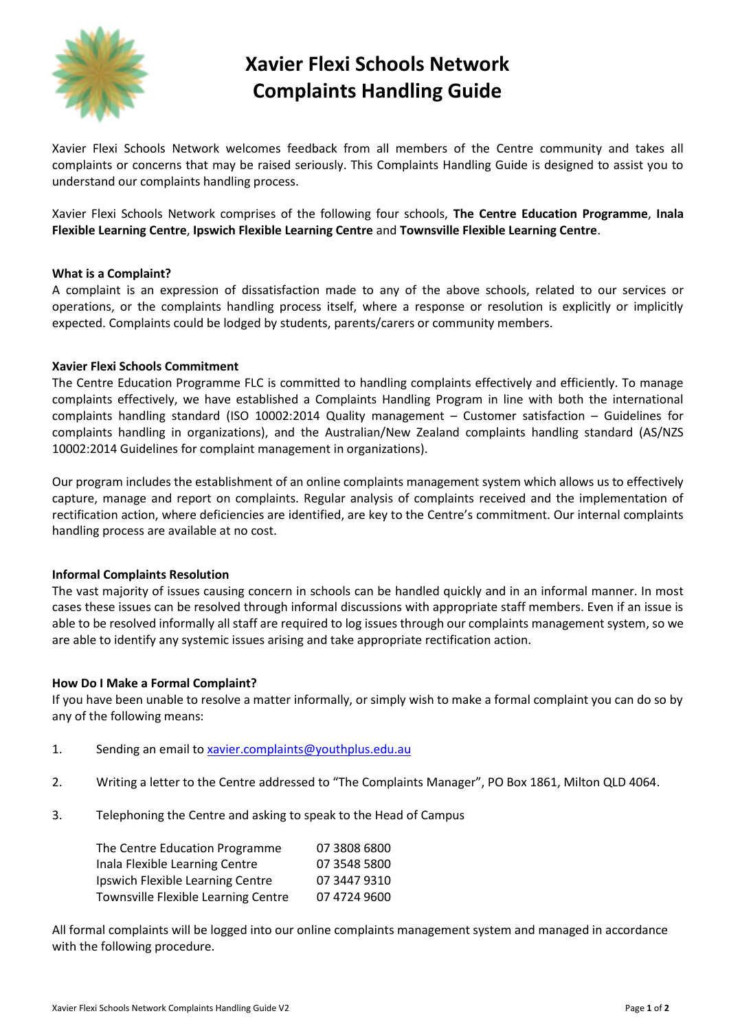

# **Xavier Flexi Schools Network Complaints Handling Guide**

Xavier Flexi Schools Network welcomes feedback from all members of the Centre community and takes all complaints or concerns that may be raised seriously. This Complaints Handling Guide is designed to assist you to understand our complaints handling process.

Xavier Flexi Schools Network comprises of the following four schools, **The Centre Education Programme**, **Inala Flexible Learning Centre**, **Ipswich Flexible Learning Centre** and **Townsville Flexible Learning Centre**.

#### **What is a Complaint?**

A complaint is an expression of dissatisfaction made to any of the above schools, related to our services or operations, or the complaints handling process itself, where a response or resolution is explicitly or implicitly expected. Complaints could be lodged by students, parents/carers or community members.

#### **Xavier Flexi Schools Commitment**

The Centre Education Programme FLC is committed to handling complaints effectively and efficiently. To manage complaints effectively, we have established a Complaints Handling Program in line with both the international complaints handling standard (ISO 10002:2014 Quality management – Customer satisfaction – Guidelines for complaints handling in organizations), and the Australian/New Zealand complaints handling standard (AS/NZS 10002:2014 Guidelines for complaint management in organizations).

Our program includes the establishment of an online complaints management system which allows us to effectively capture, manage and report on complaints. Regular analysis of complaints received and the implementation of rectification action, where deficiencies are identified, are key to the Centre's commitment. Our internal complaints handling process are available at no cost.

### **Informal Complaints Resolution**

The vast majority of issues causing concern in schools can be handled quickly and in an informal manner. In most cases these issues can be resolved through informal discussions with appropriate staff members. Even if an issue is able to be resolved informally all staff are required to log issues through our complaints management system, so we are able to identify any systemic issues arising and take appropriate rectification action.

### **How Do I Make a Formal Complaint?**

If you have been unable to resolve a matter informally, or simply wish to make a formal complaint you can do so by any of the following means:

- 1. Sending an email to [xavier.complaints@youthplus.edu.au](mailto:xavier.complaints@youthplus.edu.au)
- 2. Writing a letter to the Centre addressed to "The Complaints Manager", PO Box 1861, Milton QLD 4064.
- 3. Telephoning the Centre and asking to speak to the Head of Campus

| The Centre Education Programme      | 07 3808 6800 |
|-------------------------------------|--------------|
| Inala Flexible Learning Centre      | 07 3548 5800 |
| Ipswich Flexible Learning Centre    | 07 3447 9310 |
| Townsville Flexible Learning Centre | 07 4724 9600 |

All formal complaints will be logged into our online complaints management system and managed in accordance with the following procedure.